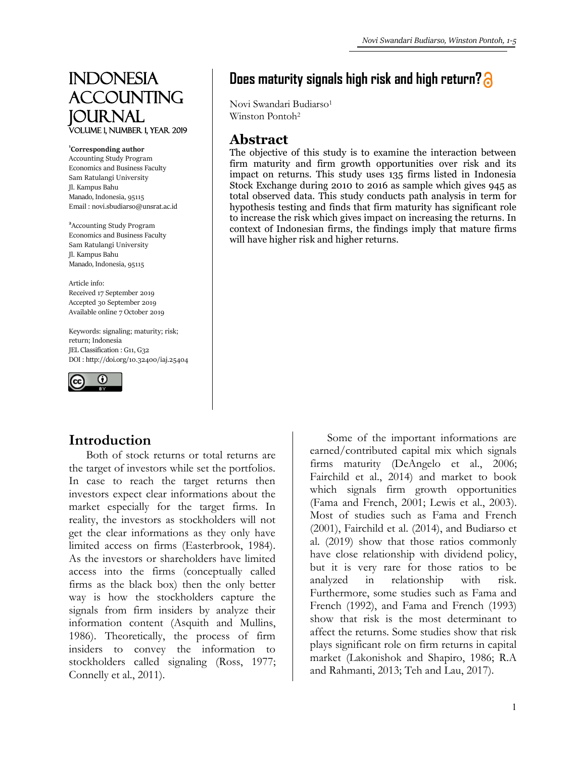# INDONESIA ACCOUNTING IOUR NAL Volume 1, NUMBER 1, YEAR 2019

**1 Corresponding author** Accounting Study Program Economics and Business Faculty Sam Ratulangi University Jl. Kampus Bahu Manado, Indonesia, 95115 Email : novi.sbudiarso@unsrat.ac.id

**2** Accounting Study Program Economics and Business Faculty Sam Ratulangi University Jl. Kampus Bahu Manado, Indonesia, 95115

Article info: Received 17 September 2019 Accepted 30 September 2019 Available online 7 October 2019

Keywords: signaling; maturity; risk; return; Indonesia JEL Classification : G11, G32 DOI : http://doi.org/10.32400/iaj.25404



## **Introduction**

Both of stock returns or total returns are the target of investors while set the portfolios. In case to reach the target returns then investors expect clear informations about the market especially for the target firms. In reality, the investors as stockholders will not get the clear informations as they only have limited access on firms (Easterbrook, 1984). As the investors or shareholders have limited access into the firms (conceptually called firms as the black box) then the only better way is how the stockholders capture the signals from firm insiders by analyze their information content (Asquith and Mullins, 1986). Theoretically, the process of firm insiders to convey the information to stockholders called signaling (Ross, 1977; Connelly et al., 2011).

# **Does maturity signals high risk and high return?**

Novi Swandari Budiarso<sup>1</sup> Winston Pontoh<sup>2</sup>

## **Abstract**

The objective of this study is to examine the interaction between firm maturity and firm growth opportunities over risk and its impact on returns. This study uses 135 firms listed in Indonesia Stock Exchange during 2010 to 2016 as sample which gives 945 as total observed data. This study conducts path analysis in term for hypothesis testing and finds that firm maturity has significant role to increase the risk which gives impact on increasing the returns. In context of Indonesian firms, the findings imply that mature firms will have higher risk and higher returns.

> Some of the important informations are earned/contributed capital mix which signals firms maturity (DeAngelo et al., 2006; Fairchild et al., 2014) and market to book which signals firm growth opportunities (Fama and French, 2001; Lewis et al., 2003). Most of studies such as Fama and French (2001), Fairchild et al. (2014), and Budiarso et al. (2019) show that those ratios commonly have close relationship with dividend policy, but it is very rare for those ratios to be analyzed in relationship with risk. Furthermore, some studies such as Fama and French (1992), and Fama and French (1993) show that risk is the most determinant to affect the returns. Some studies show that risk plays significant role on firm returns in capital market (Lakonishok and Shapiro, 1986; R.A and Rahmanti, 2013; Teh and Lau, 2017).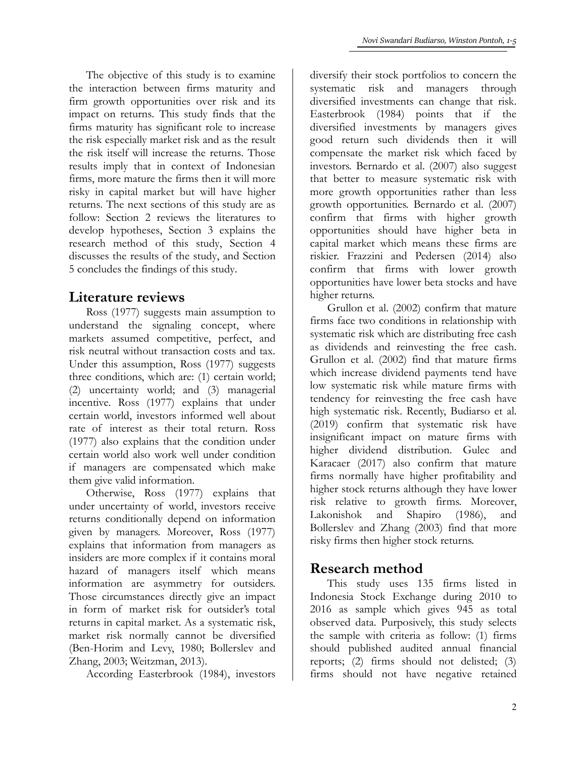The objective of this study is to examine the interaction between firms maturity and firm growth opportunities over risk and its impact on returns. This study finds that the firms maturity has significant role to increase the risk especially market risk and as the result the risk itself will increase the returns. Those results imply that in context of Indonesian firms, more mature the firms then it will more risky in capital market but will have higher returns. The next sections of this study are as follow: Section 2 reviews the literatures to develop hypotheses, Section 3 explains the research method of this study, Section 4 discusses the results of the study, and Section 5 concludes the findings of this study.

## **Literature reviews**

Ross (1977) suggests main assumption to understand the signaling concept, where markets assumed competitive, perfect, and risk neutral without transaction costs and tax. Under this assumption, Ross (1977) suggests three conditions, which are: (1) certain world; (2) uncertainty world; and (3) managerial incentive. Ross (1977) explains that under certain world, investors informed well about rate of interest as their total return. Ross (1977) also explains that the condition under certain world also work well under condition if managers are compensated which make them give valid information.

Otherwise, Ross (1977) explains that under uncertainty of world, investors receive returns conditionally depend on information given by managers. Moreover, Ross (1977) explains that information from managers as insiders are more complex if it contains moral hazard of managers itself which means information are asymmetry for outsiders. Those circumstances directly give an impact in form of market risk for outsider's total returns in capital market. As a systematic risk, market risk normally cannot be diversified (Ben-Horim and Levy, 1980; Bollerslev and Zhang, 2003; Weitzman, 2013).

According Easterbrook (1984), investors

diversify their stock portfolios to concern the systematic risk and managers through diversified investments can change that risk. Easterbrook (1984) points that if the diversified investments by managers gives good return such dividends then it will compensate the market risk which faced by investors. Bernardo et al. (2007) also suggest that better to measure systematic risk with more growth opportunities rather than less growth opportunities. Bernardo et al. (2007) confirm that firms with higher growth opportunities should have higher beta in capital market which means these firms are riskier. Frazzini and Pedersen (2014) also confirm that firms with lower growth opportunities have lower beta stocks and have higher returns.

Grullon et al. (2002) confirm that mature firms face two conditions in relationship with systematic risk which are distributing free cash as dividends and reinvesting the free cash. Grullon et al. (2002) find that mature firms which increase dividend payments tend have low systematic risk while mature firms with tendency for reinvesting the free cash have high systematic risk. Recently, Budiarso et al. (2019) confirm that systematic risk have insignificant impact on mature firms with higher dividend distribution. Gulec and Karacaer (2017) also confirm that mature firms normally have higher profitability and higher stock returns although they have lower risk relative to growth firms. Moreover, Lakonishok and Shapiro (1986), and Bollerslev and Zhang (2003) find that more risky firms then higher stock returns.

## **Research method**

This study uses 135 firms listed in Indonesia Stock Exchange during 2010 to 2016 as sample which gives 945 as total observed data. Purposively, this study selects the sample with criteria as follow: (1) firms should published audited annual financial reports; (2) firms should not delisted; (3) firms should not have negative retained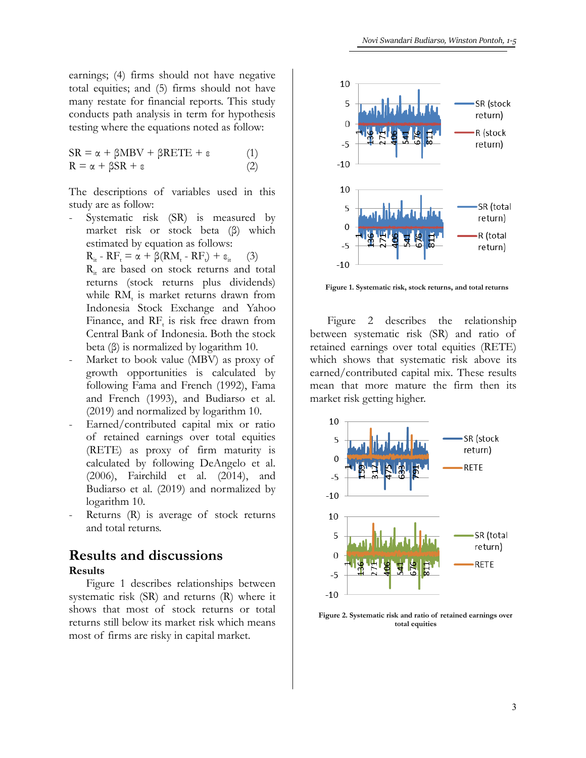earnings; (4) firms should not have negative total equities; and (5) firms should not have many restate for financial reports. This study conducts path analysis in term for hypothesis testing where the equations noted as follow:

 $SR = \alpha + \beta MBV + \beta RETE + \epsilon$  (1)  $R = \alpha + \beta SR + \varepsilon$  (2)

The descriptions of variables used in this study are as follow:

Systematic risk (SR) is measured by market risk or stock beta (β) which estimated by equation as follows:

 $R_{it}$  -  $RF_t = \alpha + \beta (RM_t - RF_t) + \varepsilon_{it}$  (3)

- $R_i$  are based on stock returns and total returns (stock returns plus dividends) while  $RM_{t}$  is market returns drawn from Indonesia Stock Exchange and Yahoo Finance, and  $RF_t$  is risk free drawn from Central Bank of Indonesia. Both the stock beta (β) is normalized by logarithm 10.
- Market to book value (MBV) as proxy of growth opportunities is calculated by following Fama and French (1992), Fama and French (1993), and Budiarso et al. (2019) and normalized by logarithm 10.
- Earned/contributed capital mix or ratio of retained earnings over total equities (RETE) as proxy of firm maturity is calculated by following DeAngelo et al. (2006), Fairchild et al. (2014), and Budiarso et al. (2019) and normalized by logarithm 10.
- Returns  $(R)$  is average of stock returns and total returns.

### **Results and discussions Results**

Figure 1 describes relationships between systematic risk (SR) and returns (R) where it shows that most of stock returns or total returns still below its market risk which means most of firms are risky in capital market.



**Figure 1. Systematic risk, stock returns, and total returns**

Figure 2 describes the relationship between systematic risk (SR) and ratio of retained earnings over total equities (RETE) which shows that systematic risk above its earned/contributed capital mix. These results mean that more mature the firm then its market risk getting higher.



**Figure 2. Systematic risk and ratio of retained earnings over total equities**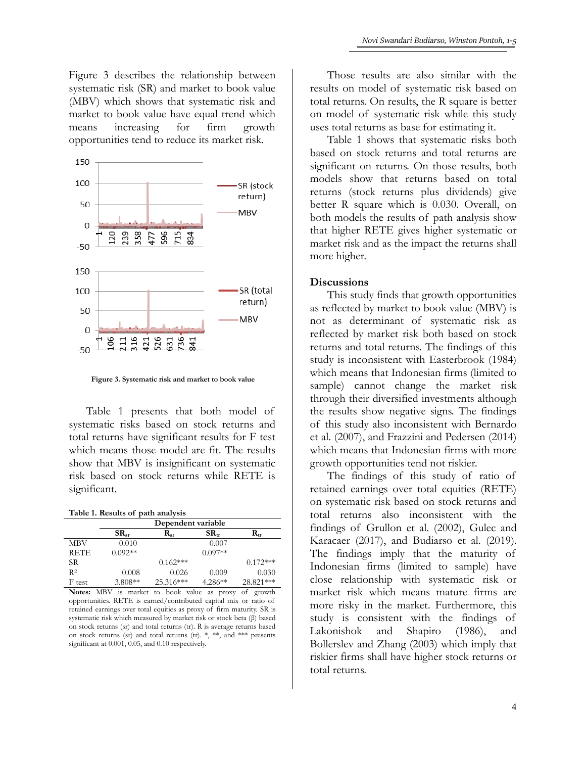Figure 3 describes the relationship between systematic risk (SR) and market to book value (MBV) which shows that systematic risk and market to book value have equal trend which means increasing for firm growth opportunities tend to reduce its market risk.



**Figure 3. Systematic risk and market to book value**

Table 1 presents that both model of systematic risks based on stock returns and total returns have significant results for F test which means those model are fit. The results show that MBV is insignificant on systematic risk based on stock returns while RETE is significant.

**Table 1. Results of path analysis** 

|                | Dependent variable      |                       |           |                   |
|----------------|-------------------------|-----------------------|-----------|-------------------|
|                | $SR_{sr}$               | $\mathbf{R}_{\rm sr}$ | $SR_{rr}$ | $\mathbf{R}_{tr}$ |
| <b>MBV</b>     | $-0.010$                |                       | $-0.007$  |                   |
| RETE           | $0.092**$               |                       | $0.097**$ |                   |
| SR             |                         | $0.162***$            |           | $0.172***$        |
| R <sup>2</sup> | 0.008                   | 0.026                 | 0.009     | 0.030             |
| F test         | $3.808**$               | 25.316***             | $4.286**$ | 28.821***         |
| $\mathbf{v}$   | T T T T<br>$\mathbf{I}$ | .                     |           |                   |

**Notes:** MBV is market to book value as proxy of growth opportunities. RETE is earned/contributed capital mix or ratio of retained earnings over total equities as proxy of firm maturity. SR is systematic risk which measured by market risk or stock beta (β) based on stock returns (sr) and total returns (tr). R is average returns based on stock returns (sr) and total returns (tr). \*, \*\*, and \*\*\* presents significant at 0.001, 0.05, and 0.10 respectively.

Those results are also similar with the results on model of systematic risk based on total returns. On results, the R square is better on model of systematic risk while this study uses total returns as base for estimating it.

Table 1 shows that systematic risks both based on stock returns and total returns are significant on returns. On those results, both models show that returns based on total returns (stock returns plus dividends) give better R square which is 0.030. Overall, on both models the results of path analysis show that higher RETE gives higher systematic or market risk and as the impact the returns shall more higher.

#### **Discussions**

This study finds that growth opportunities as reflected by market to book value (MBV) is not as determinant of systematic risk as reflected by market risk both based on stock returns and total returns. The findings of this study is inconsistent with Easterbrook (1984) which means that Indonesian firms (limited to sample) cannot change the market risk through their diversified investments although the results show negative signs. The findings of this study also inconsistent with Bernardo et al. (2007), and Frazzini and Pedersen (2014) which means that Indonesian firms with more growth opportunities tend not riskier.

The findings of this study of ratio of retained earnings over total equities (RETE) on systematic risk based on stock returns and total returns also inconsistent with the findings of Grullon et al. (2002), Gulec and Karacaer (2017), and Budiarso et al. (2019). The findings imply that the maturity of Indonesian firms (limited to sample) have close relationship with systematic risk or market risk which means mature firms are more risky in the market. Furthermore, this study is consistent with the findings of Lakonishok and Shapiro (1986), and Bollerslev and Zhang (2003) which imply that riskier firms shall have higher stock returns or total returns.